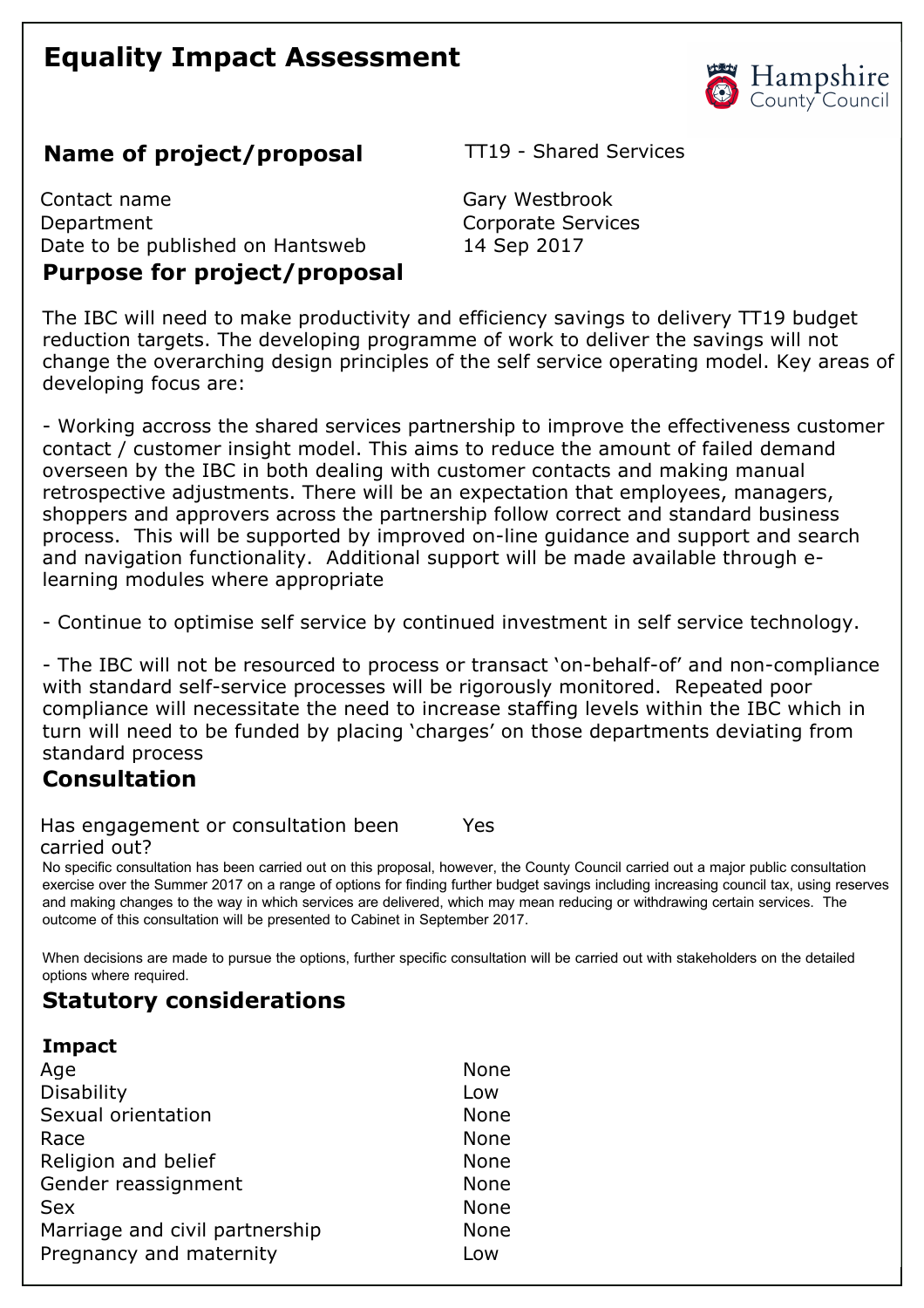# **Equality Impact Assessment**



# **Name of project/proposal** TT19 - Shared Services

Contact name Gary Westbrook Department Corporate Services Date to be published on Hantsweb 14 Sep 2017 **Purpose for project/proposal** 

The IBC will need to make productivity and efficiency savings to delivery TT19 budget reduction targets. The developing programme of work to deliver the savings will not change the overarching design principles of the self service operating model. Key areas of developing focus are:

 Working accross the shared services partnership to improve the effectiveness customer contact / customer insight model. This aims to reduce the amount of failed demand overseen by the IBC in both dealing with customer contacts and making manual retrospective adjustments. There will be an expectation that employees, managers, shoppers and approvers across the partnership follow correct and standard business process. This will be supported by improved on-line guidance and support and search and navigation functionality. Additional support will be made available through elearning modules where appropriate

Continue to optimise self service by continued investment in self service technology.

- The IBC will not be resourced to process or transact 'on-behalf-of' and non-compliance with standard self-service processes will be rigorously monitored. Repeated poor compliance will necessitate the need to increase staffing levels within the IBC which in turn will need to be funded by placing 'charges' on those departments deviating from standard process

### **Consultation**

Has engagement or consultation been carried out? Yes

No specific consultation has been carried out on this proposal, however, the County Council carried out a major public consultation exercise over the Summer 2017 on a range of options for finding further budget savings including increasing council tax, using reserves and making changes to the way in which services are delivered, which may mean reducing or withdrawing certain services. The outcome of this consultation will be presented to Cabinet in September 2017.

When decisions are made to pursue the options, further specific consultation will be carried out with stakeholders on the detailed options where required.

### **Statutory considerations**

#### **Impact**

| Age                            | None        |
|--------------------------------|-------------|
| Disability                     | Low         |
| Sexual orientation             | <b>None</b> |
| Race                           | <b>None</b> |
| Religion and belief            | <b>None</b> |
| Gender reassignment            | <b>None</b> |
| <b>Sex</b>                     | <b>None</b> |
| Marriage and civil partnership | <b>None</b> |
| Pregnancy and maternity        | Low         |